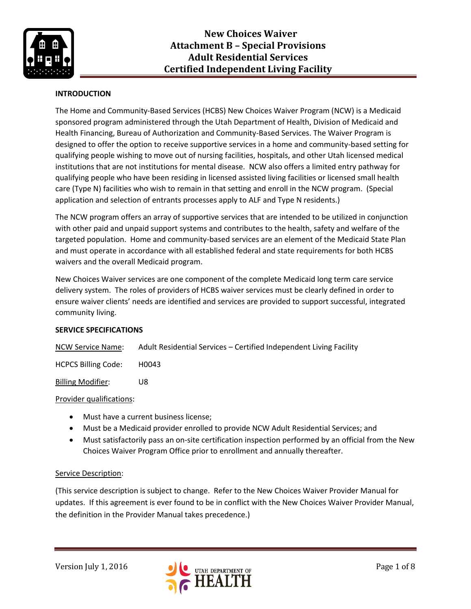

## **INTRODUCTION**

The Home and Community-Based Services (HCBS) New Choices Waiver Program (NCW) is a Medicaid sponsored program administered through the Utah Department of Health, Division of Medicaid and Health Financing, Bureau of Authorization and Community-Based Services. The Waiver Program is designed to offer the option to receive supportive services in a home and community-based setting for qualifying people wishing to move out of nursing facilities, hospitals, and other Utah licensed medical institutions that are not institutions for mental disease. NCW also offers a limited entry pathway for qualifying people who have been residing in licensed assisted living facilities or licensed small health care (Type N) facilities who wish to remain in that setting and enroll in the NCW program. (Special application and selection of entrants processes apply to ALF and Type N residents.)

The NCW program offers an array of supportive services that are intended to be utilized in conjunction with other paid and unpaid support systems and contributes to the health, safety and welfare of the targeted population. Home and community-based services are an element of the Medicaid State Plan and must operate in accordance with all established federal and state requirements for both HCBS waivers and the overall Medicaid program.

New Choices Waiver services are one component of the complete Medicaid long term care service delivery system. The roles of providers of HCBS waiver services must be clearly defined in order to ensure waiver clients' needs are identified and services are provided to support successful, integrated community living.

### **SERVICE SPECIFICATIONS**

NCW Service Name: Adult Residential Services – Certified Independent Living Facility

HCPCS Billing Code: H0043

Billing Modifier: U8

### Provider qualifications:

- Must have a current business license;
- Must be a Medicaid provider enrolled to provide NCW Adult Residential Services; and
- Must satisfactorily pass an on-site certification inspection performed by an official from the New Choices Waiver Program Office prior to enrollment and annually thereafter.

### Service Description:

(This service description is subject to change. Refer to the New Choices Waiver Provider Manual for updates. If this agreement is ever found to be in conflict with the New Choices Waiver Provider Manual, the definition in the Provider Manual takes precedence.)

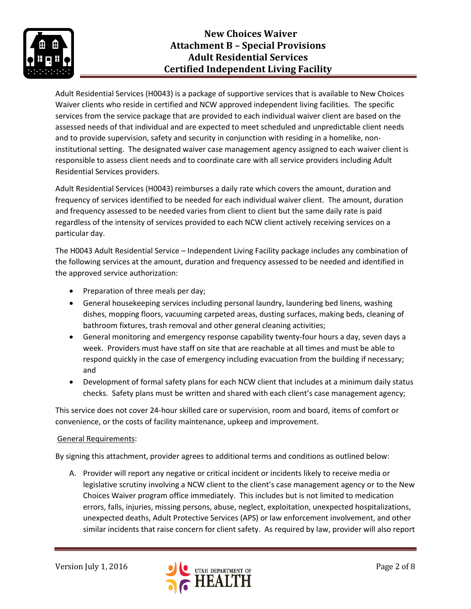

Adult Residential Services (H0043) is a package of supportive services that is available to New Choices Waiver clients who reside in certified and NCW approved independent living facilities. The specific services from the service package that are provided to each individual waiver client are based on the assessed needs of that individual and are expected to meet scheduled and unpredictable client needs and to provide supervision, safety and security in conjunction with residing in a homelike, noninstitutional setting. The designated waiver case management agency assigned to each waiver client is responsible to assess client needs and to coordinate care with all service providers including Adult Residential Services providers.

Adult Residential Services (H0043) reimburses a daily rate which covers the amount, duration and frequency of services identified to be needed for each individual waiver client. The amount, duration and frequency assessed to be needed varies from client to client but the same daily rate is paid regardless of the intensity of services provided to each NCW client actively receiving services on a particular day.

The H0043 Adult Residential Service – Independent Living Facility package includes any combination of the following services at the amount, duration and frequency assessed to be needed and identified in the approved service authorization:

- Preparation of three meals per day;
- General housekeeping services including personal laundry, laundering bed linens, washing dishes, mopping floors, vacuuming carpeted areas, dusting surfaces, making beds, cleaning of bathroom fixtures, trash removal and other general cleaning activities;
- General monitoring and emergency response capability twenty-four hours a day, seven days a week. Providers must have staff on site that are reachable at all times and must be able to respond quickly in the case of emergency including evacuation from the building if necessary; and
- Development of formal safety plans for each NCW client that includes at a minimum daily status checks. Safety plans must be written and shared with each client's case management agency;

This service does not cover 24-hour skilled care or supervision, room and board, items of comfort or convenience, or the costs of facility maintenance, upkeep and improvement.

## General Requirements:

By signing this attachment, provider agrees to additional terms and conditions as outlined below:

A. Provider will report any negative or critical incident or incidents likely to receive media or legislative scrutiny involving a NCW client to the client's case management agency or to the New Choices Waiver program office immediately. This includes but is not limited to medication errors, falls, injuries, missing persons, abuse, neglect, exploitation, unexpected hospitalizations, unexpected deaths, Adult Protective Services (APS) or law enforcement involvement, and other similar incidents that raise concern for client safety. As required by law, provider will also report

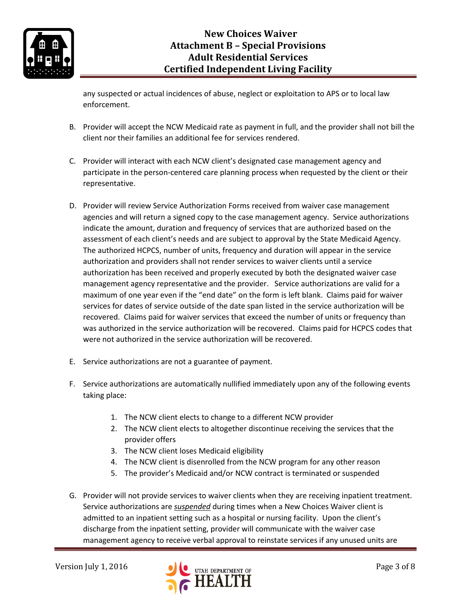

any suspected or actual incidences of abuse, neglect or exploitation to APS or to local law enforcement.

- B. Provider will accept the NCW Medicaid rate as payment in full, and the provider shall not bill the client nor their families an additional fee for services rendered.
- C. Provider will interact with each NCW client's designated case management agency and participate in the person-centered care planning process when requested by the client or their representative.
- D. Provider will review Service Authorization Forms received from waiver case management agencies and will return a signed copy to the case management agency. Service authorizations indicate the amount, duration and frequency of services that are authorized based on the assessment of each client's needs and are subject to approval by the State Medicaid Agency. The authorized HCPCS, number of units, frequency and duration will appear in the service authorization and providers shall not render services to waiver clients until a service authorization has been received and properly executed by both the designated waiver case management agency representative and the provider. Service authorizations are valid for a maximum of one year even if the "end date" on the form is left blank. Claims paid for waiver services for dates of service outside of the date span listed in the service authorization will be recovered. Claims paid for waiver services that exceed the number of units or frequency than was authorized in the service authorization will be recovered. Claims paid for HCPCS codes that were not authorized in the service authorization will be recovered.
- E. Service authorizations are not a guarantee of payment.
- F. Service authorizations are automatically nullified immediately upon any of the following events taking place:
	- 1. The NCW client elects to change to a different NCW provider
	- 2. The NCW client elects to altogether discontinue receiving the services that the provider offers
	- 3. The NCW client loses Medicaid eligibility
	- 4. The NCW client is disenrolled from the NCW program for any other reason
	- 5. The provider's Medicaid and/or NCW contract is terminated or suspended
- G. Provider will not provide services to waiver clients when they are receiving inpatient treatment. Service authorizations are *suspended* during times when a New Choices Waiver client is admitted to an inpatient setting such as a hospital or nursing facility. Upon the client's discharge from the inpatient setting, provider will communicate with the waiver case management agency to receive verbal approval to reinstate services if any unused units are

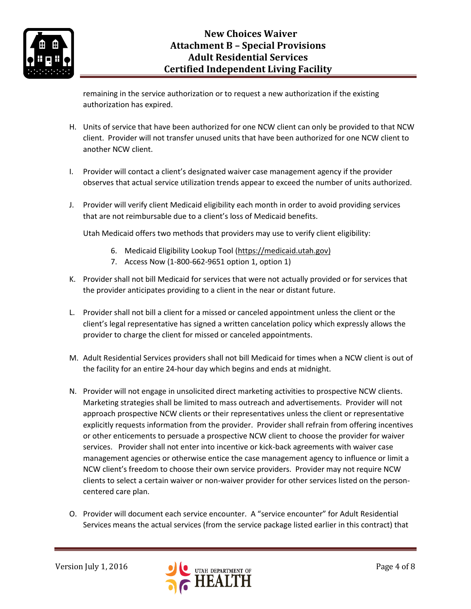

remaining in the service authorization or to request a new authorization if the existing authorization has expired.

- H. Units of service that have been authorized for one NCW client can only be provided to that NCW client. Provider will not transfer unused units that have been authorized for one NCW client to another NCW client.
- I. Provider will contact a client's designated waiver case management agency if the provider observes that actual service utilization trends appear to exceed the number of units authorized.
- J. Provider will verify client Medicaid eligibility each month in order to avoid providing services that are not reimbursable due to a client's loss of Medicaid benefits.

Utah Medicaid offers two methods that providers may use to verify client eligibility:

- 6. Medicaid Eligibility Lookup Tool [\(https://medicaid.utah.gov\)](https://medicaid.utah.gov/)
- 7. Access Now (1-800-662-9651 option 1, option 1)
- K. Provider shall not bill Medicaid for services that were not actually provided or for services that the provider anticipates providing to a client in the near or distant future.
- L. Provider shall not bill a client for a missed or canceled appointment unless the client or the client's legal representative has signed a written cancelation policy which expressly allows the provider to charge the client for missed or canceled appointments.
- M. Adult Residential Services providers shall not bill Medicaid for times when a NCW client is out of the facility for an entire 24-hour day which begins and ends at midnight.
- N. Provider will not engage in unsolicited direct marketing activities to prospective NCW clients. Marketing strategies shall be limited to mass outreach and advertisements. Provider will not approach prospective NCW clients or their representatives unless the client or representative explicitly requests information from the provider. Provider shall refrain from offering incentives or other enticements to persuade a prospective NCW client to choose the provider for waiver services. Provider shall not enter into incentive or kick-back agreements with waiver case management agencies or otherwise entice the case management agency to influence or limit a NCW client's freedom to choose their own service providers. Provider may not require NCW clients to select a certain waiver or non-waiver provider for other services listed on the personcentered care plan.
- O. Provider will document each service encounter. A "service encounter" for Adult Residential Services means the actual services (from the service package listed earlier in this contract) that

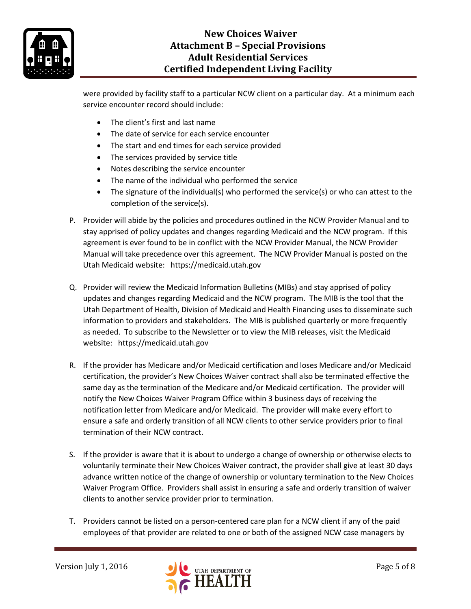

# **New Choices Waiver Attachment B – Special Provisions Adult Residential Services Certified Independent Living Facility**

were provided by facility staff to a particular NCW client on a particular day. At a minimum each service encounter record should include:

- The client's first and last name
- The date of service for each service encounter
- The start and end times for each service provided
- The services provided by service title
- Notes describing the service encounter
- The name of the individual who performed the service
- The signature of the individual(s) who performed the service(s) or who can attest to the completion of the service(s).
- P. Provider will abide by the policies and procedures outlined in the NCW Provider Manual and to stay apprised of policy updates and changes regarding Medicaid and the NCW program. If this agreement is ever found to be in conflict with the NCW Provider Manual, the NCW Provider Manual will take precedence over this agreement. The NCW Provider Manual is posted on the Utah Medicaid website: [https://medicaid.utah.gov](https://medicaid.utah.gov/)
- Q. Provider will review the Medicaid Information Bulletins (MIBs) and stay apprised of policy updates and changes regarding Medicaid and the NCW program. The MIB is the tool that the Utah Department of Health, Division of Medicaid and Health Financing uses to disseminate such information to providers and stakeholders. The MIB is published quarterly or more frequently as needed. To subscribe to the Newsletter or to view the MIB releases, visit the Medicaid website: [https://medicaid.utah.gov](https://medicaid.utah.gov/)
- R. If the provider has Medicare and/or Medicaid certification and loses Medicare and/or Medicaid certification, the provider's New Choices Waiver contract shall also be terminated effective the same day as the termination of the Medicare and/or Medicaid certification. The provider will notify the New Choices Waiver Program Office within 3 business days of receiving the notification letter from Medicare and/or Medicaid. The provider will make every effort to ensure a safe and orderly transition of all NCW clients to other service providers prior to final termination of their NCW contract.
- S. If the provider is aware that it is about to undergo a change of ownership or otherwise elects to voluntarily terminate their New Choices Waiver contract, the provider shall give at least 30 days advance written notice of the change of ownership or voluntary termination to the New Choices Waiver Program Office. Providers shall assist in ensuring a safe and orderly transition of waiver clients to another service provider prior to termination.
- T. Providers cannot be listed on a person-centered care plan for a NCW client if any of the paid employees of that provider are related to one or both of the assigned NCW case managers by

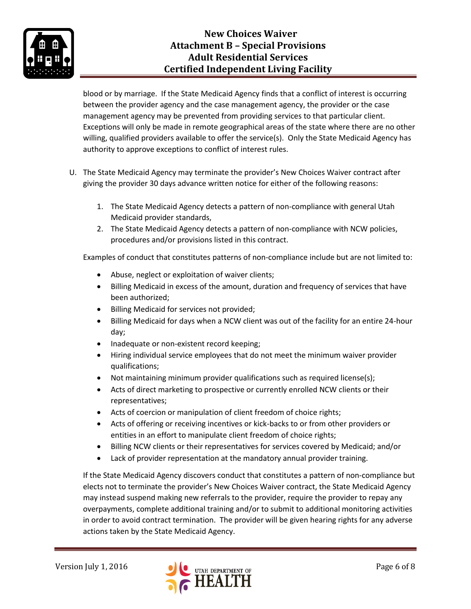

# **New Choices Waiver Attachment B – Special Provisions Adult Residential Services Certified Independent Living Facility**

blood or by marriage. If the State Medicaid Agency finds that a conflict of interest is occurring between the provider agency and the case management agency, the provider or the case management agency may be prevented from providing services to that particular client. Exceptions will only be made in remote geographical areas of the state where there are no other willing, qualified providers available to offer the service(s). Only the State Medicaid Agency has authority to approve exceptions to conflict of interest rules.

- U. The State Medicaid Agency may terminate the provider's New Choices Waiver contract after giving the provider 30 days advance written notice for either of the following reasons:
	- 1. The State Medicaid Agency detects a pattern of non-compliance with general Utah Medicaid provider standards,
	- 2. The State Medicaid Agency detects a pattern of non-compliance with NCW policies, procedures and/or provisions listed in this contract.

Examples of conduct that constitutes patterns of non-compliance include but are not limited to:

- Abuse, neglect or exploitation of waiver clients;
- Billing Medicaid in excess of the amount, duration and frequency of services that have been authorized;
- Billing Medicaid for services not provided;
- Billing Medicaid for days when a NCW client was out of the facility for an entire 24-hour day;
- Inadequate or non-existent record keeping;
- Hiring individual service employees that do not meet the minimum waiver provider qualifications;
- Not maintaining minimum provider qualifications such as required license(s);
- Acts of direct marketing to prospective or currently enrolled NCW clients or their representatives;
- Acts of coercion or manipulation of client freedom of choice rights;
- Acts of offering or receiving incentives or kick-backs to or from other providers or entities in an effort to manipulate client freedom of choice rights;
- Billing NCW clients or their representatives for services covered by Medicaid; and/or
- Lack of provider representation at the mandatory annual provider training.

If the State Medicaid Agency discovers conduct that constitutes a pattern of non-compliance but elects not to terminate the provider's New Choices Waiver contract, the State Medicaid Agency may instead suspend making new referrals to the provider, require the provider to repay any overpayments, complete additional training and/or to submit to additional monitoring activities in order to avoid contract termination. The provider will be given hearing rights for any adverse actions taken by the State Medicaid Agency.

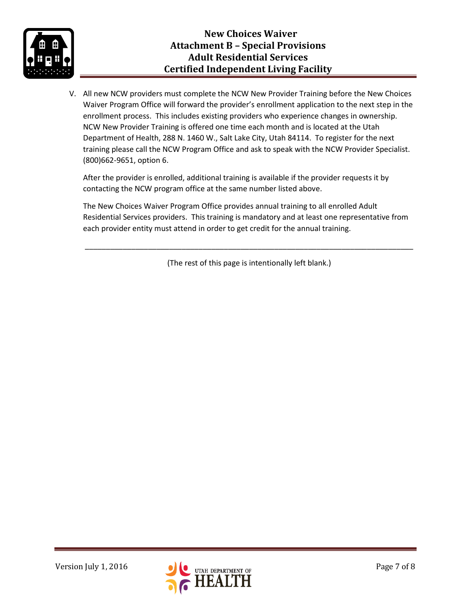

V. All new NCW providers must complete the NCW New Provider Training before the New Choices Waiver Program Office will forward the provider's enrollment application to the next step in the enrollment process. This includes existing providers who experience changes in ownership. NCW New Provider Training is offered one time each month and is located at the Utah Department of Health, 288 N. 1460 W., Salt Lake City, Utah 84114. To register for the next training please call the NCW Program Office and ask to speak with the NCW Provider Specialist. (800)662-9651, option 6.

After the provider is enrolled, additional training is available if the provider requests it by contacting the NCW program office at the same number listed above.

The New Choices Waiver Program Office provides annual training to all enrolled Adult Residential Services providers. This training is mandatory and at least one representative from each provider entity must attend in order to get credit for the annual training.

(The rest of this page is intentionally left blank.)

\_\_\_\_\_\_\_\_\_\_\_\_\_\_\_\_\_\_\_\_\_\_\_\_\_\_\_\_\_\_\_\_\_\_\_\_\_\_\_\_\_\_\_\_\_\_\_\_\_\_\_\_\_\_\_\_\_\_\_\_\_\_\_\_\_\_\_\_\_\_\_\_\_\_\_\_\_\_